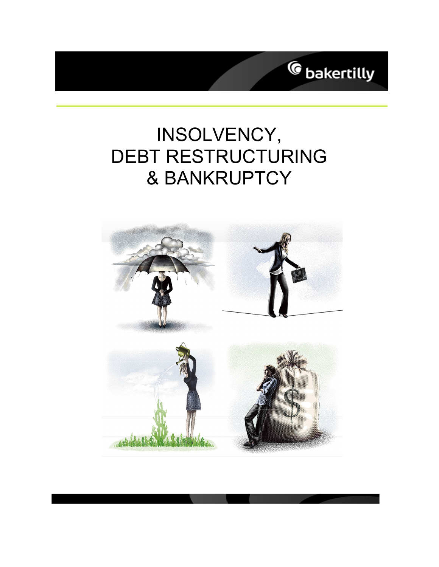

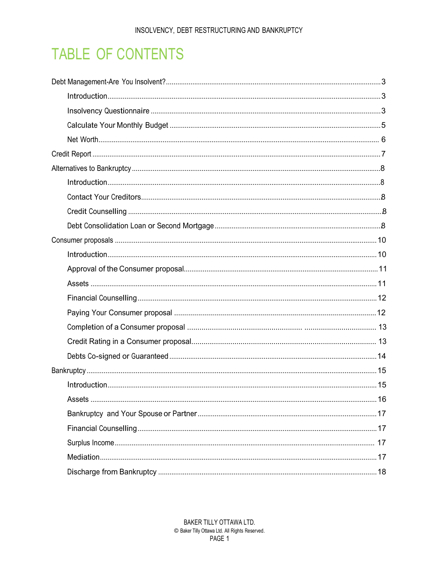## **TABLE OF CONTENTS**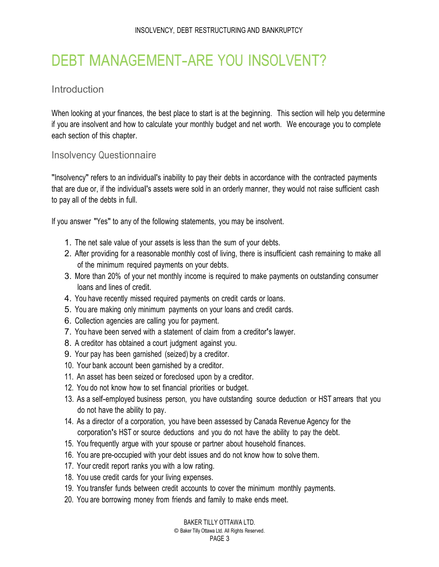## <span id="page-3-0"></span>DEBT MANAGEMENT-ARE YOU INSOLVENT?

### Introduction

When looking at your finances, the best place to start is at the beginning. This section will help you determine if you are insolvent and how to calculate your monthly budget and net worth. We encourage you to complete each section of this chapter.

#### Insolvency Questionnaire

"Insolvency" refers to an individual's inability to pay their debts in accordance with the contracted payments that are due or, if the individual's assets were sold in an orderly manner, they would not raise sufficient cash to pay all of the debts in full.

If you answer "Yes" to any of the following statements, you may be insolvent.

- 1. The net sale value of your assets is less than the sum of your debts.
- 2. After providing for a reasonable monthly cost of living, there is insufficient cash remaining to make all of the minimum required payments on your debts.
- 3. More than 20% of your net monthly income is required to make payments on outstanding consumer loans and lines of credit.
- 4. You have recently missed required payments on credit cards or loans.
- 5. You are making only minimum payments on your loans and credit cards.
- 6. Collection agencies are calling you for payment.
- 7. You have been served with a statement of claim from a creditor's lawyer.
- 8. A creditor has obtained a court judgment against you.
- 9. Your pay has been garnished (seized) by a creditor.
- 10. Your bank account been garnished by a creditor.
- 11. An asset has been seized or foreclosed upon by a creditor.
- 12. You do not know how to set financial priorities or budget.
- 13. As a self-employed business person, you have outstanding source deduction or HST arrears that you do not have the ability to pay.
- 14. As a director of a corporation, you have been assessed by Canada Revenue Agency for the corporation's HST or source deductions and you do not have the ability to pay the debt.
- 15. You frequently argue with your spouse or partner about household finances.
- 16. You are pre-occupied with your debt issues and do not know how to solve them.
- 17. Your credit report ranks you with a low rating.
- 18. You use credit cards for your living expenses.
- 19. You transfer funds between credit accounts to cover the minimum monthly payments.
- 20. You are borrowing money from friends and family to make ends meet.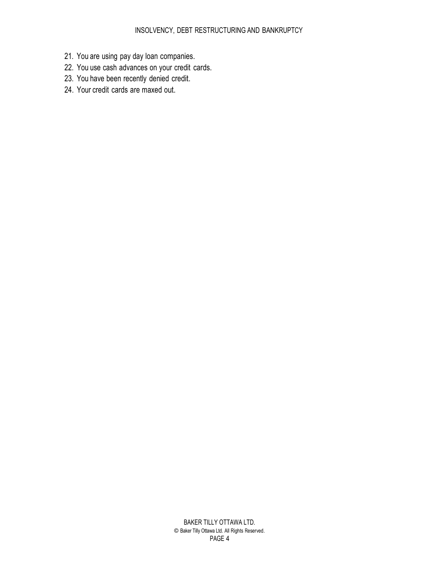- 21. You are using pay day loan companies.
- 22. You use cash advances on your credit cards.
- 23. You have been recently denied credit.
- 24. Your credit cards are maxed out.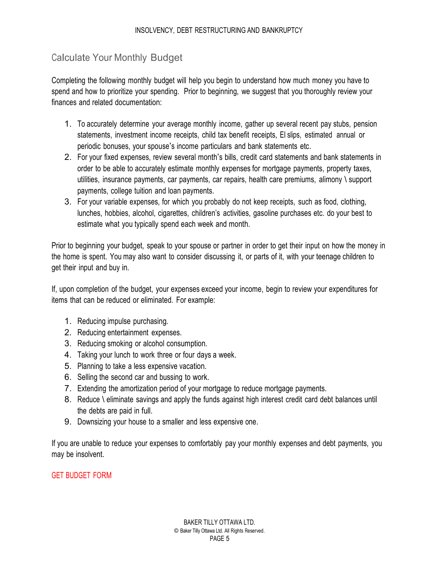## <span id="page-5-0"></span>Calculate Your Monthly Budget

Completing the following monthly budget will help you begin to understand how much money you have to spend and how to prioritize your spending. Prior to beginning, we suggest that you thoroughly review your finances and related documentation:

- 1. To accurately determine your average monthly income, gather up several recent pay stubs, pension statements, investment income receipts, child tax benefit receipts, EI slips, estimated annual or periodic bonuses, your spouse's income particulars and bank statements etc.
- 2. For your fixed expenses, review several month's bills, credit card statements and bank statements in order to be able to accurately estimate monthly expenses for mortgage payments, property taxes, utilities, insurance payments, car payments, car repairs, health care premiums, alimony \ support payments, college tuition and loan payments.
- 3. For your variable expenses, for which you probably do not keep receipts, such as food, clothing, lunches, hobbies, alcohol, cigarettes, children's activities, gasoline purchases etc. do your best to estimate what you typically spend each week and month.

Prior to beginning your budget, speak to your spouse or partner in order to get their input on how the money in the home is spent. You may also want to consider discussing it, or parts of it, with your teenage children to get their input and buy in.

If, upon completion of the budget, your expenses exceed your income, begin to review your expenditures for items that can be reduced or eliminated. For example:

- 1. Reducing impulse purchasing.
- 2. Reducing entertainment expenses.
- 3. Reducing smoking or alcohol consumption.
- 4. Taking your lunch to work three or four days a week.
- 5. Planning to take a less expensive vacation.
- 6. Selling the second car and bussing to work.
- 7. Extending the amortization period of your mortgage to reduce mortgage payments.
- 8. Reduce \ eliminate savings and apply the funds against high interest credit card debt balances until the debts are paid in full.
- 9. Downsizing your house to a smaller and less expensive one.

If you are unable to reduce your expenses to comfortably pay your monthly expenses and debt payments, you may be insolvent.

#### GET BUDGET FORM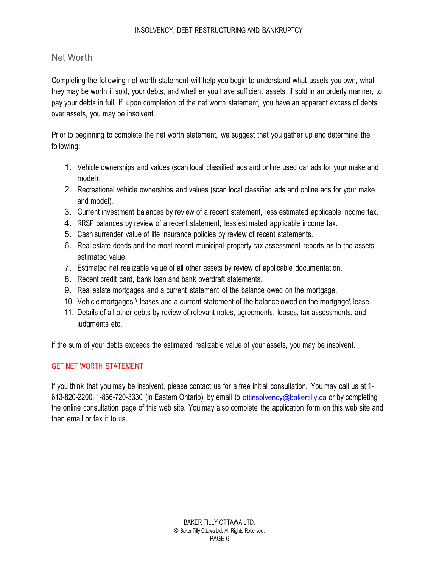#### <span id="page-6-0"></span>Net Worth

Completing the following net worth statement will help you begin to understand what assets you own, what they may be worth if sold, your debts, and whether you have sufficient assets, if sold in an orderly manner, to pay your debts in full. If, upon completion of the net worth statement, you have an apparent excess of debts over assets, you may be insolvent.

Prior to beginning to complete the net worth statement, we suggest that you gather up and determine the following:

- 1. Vehicle ownerships and values (scan local classified ads and online used car ads for your make and model).
- 2. Recreational vehicle ownerships and values (scan local classified ads and online ads for your make and model).
- 3. Current investment balances by review of a recent statement, less estimated applicable income tax.
- 4. RRSP balances by review of a recent statement, less estimated applicable income tax.
- 5. Cash surrender value of life insurance policies by review of recent statements.
- 6. Real estate deeds and the most recent municipal property tax assessment reports as to the assets estimated value.
- 7. Estimated net realizable value of all other assets by review of applicable documentation.
- 8. Recent credit card, bank loan and bank overdraft statements.
- 9. Real estate mortgages and a current statement of the balance owed on the mortgage.
- 10. Vehicle mortgages \ leases and a current statement of the balance owed on the mortgage\ lease.
- 11. Details of all other debts by review of relevant notes, agreements, leases, tax assessments, and judgments etc.

If the sum of your debts exceeds the estimated realizable value of your assets, you may be insolvent.

#### GET NET WORTH STATEMENT

If you think that you may be insolvent, please contact us for a free initial consultation. You may call us at 1- 613-820-2200, 1-866-720-3330 (in Eastern Ontario), by email to ottinsolvency@bakertilly.ca or by completing the online consultation page of this web site. You may also complete the application form on this web site and then email or fax it to us.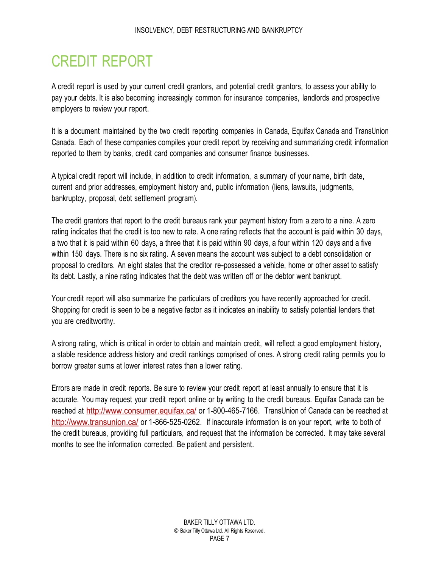## <span id="page-7-0"></span>CREDIT REPORT

A credit report is used by your current credit grantors, and potential credit grantors, to assess your ability to pay your debts. It is also becoming increasingly common for insurance companies, landlords and prospective employers to review your report.

It is a document maintained by the two credit reporting companies in Canada, Equifax Canada and TransUnion Canada. Each of these companies compiles your credit report by receiving and summarizing credit information reported to them by banks, credit card companies and consumer finance businesses.

A typical credit report will include, in addition to credit information, a summary of your name, birth date, current and prior addresses, employment history and, public information (liens, lawsuits, judgments, bankruptcy, proposal, debt settlement program).

The credit grantors that report to the credit bureaus rank your payment history from a zero to a nine. A zero rating indicates that the credit is too new to rate. A one rating reflects that the account is paid within 30 days, a two that it is paid within 60 days, a three that it is paid within 90 days, a four within 120 days and a five within 150 days. There is no six rating. A seven means the account was subject to a debt consolidation or proposal to creditors. An eight states that the creditor re-possessed a vehicle, home or other asset to satisfy its debt. Lastly, a nine rating indicates that the debt was written off or the debtor went bankrupt.

Your credit report will also summarize the particulars of creditors you have recently approached for credit. Shopping for credit is seen to be a negative factor as it indicates an inability to satisfy potential lenders that you are creditworthy.

A strong rating, which is critical in order to obtain and maintain credit, will reflect a good employment history, a stable residence address history and credit rankings comprised of ones. A strong credit rating permits you to borrow greater sums at lower interest rates than a lower rating.

Errors are made in credit reports. Be sure to review your credit report at least annually to ensure that it is accurate. You may request your credit report online or by writing to the credit bureaus. Equifax Canada can be reached at http://www.consumer.equifax.ca/ or 1-800-465-7166. TransUnion of Canada can be reached at http://www.transunion.ca/ or 1-866-525-0262. If inaccurate information is on your report, write to both of the credit bureaus, providing full particulars, and request that the information be corrected. It may take several months to see the information corrected. Be patient and persistent.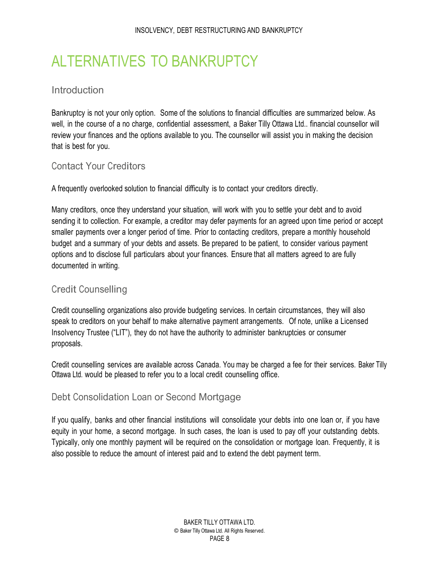## <span id="page-8-0"></span>ALTERNATIVES TO BANKRUPTCY

#### **Introduction**

Bankruptcy is not your only option. Some of the solutions to financial difficulties are summarized below. As well, in the course of a no charge, confidential assessment, a Baker Tilly Ottawa Ltd.. financial counsellor will review your finances and the options available to you. The counsellor will assist you in making the decision that is best for you.

#### Contact Your Creditors

A frequently overlooked solution to financial difficulty is to contact your creditors directly.

Many creditors, once they understand your situation, will work with you to settle your debt and to avoid sending it to collection. For example, a creditor may defer payments for an agreed upon time period or accept smaller payments over a longer period of time. Prior to contacting creditors, prepare a monthly household budget and a summary of your debts and assets. Be prepared to be patient, to consider various payment options and to disclose full particulars about your finances. Ensure that all matters agreed to are fully documented in writing.

### Credit Counselling

Credit counselling organizations also provide budgeting services. In certain circumstances, they will also speak to creditors on your behalf to make alternative payment arrangements. Of note, unlike a Licensed Insolvency Trustee ("LIT"), they do not have the authority to administer bankruptcies or consumer proposals.

Credit counselling services are available across Canada. You may be charged a fee for their services. Baker Tilly Ottawa Ltd. would be pleased to refer you to a local credit counselling office.

#### Debt Consolidation Loan or Second Mortgage

If you qualify, banks and other financial institutions will consolidate your debts into one loan or, if you have equity in your home, a second mortgage. In such cases, the loan is used to pay off your outstanding debts. Typically, only one monthly payment will be required on the consolidation or mortgage loan. Frequently, it is also possible to reduce the amount of interest paid and to extend the debt payment term.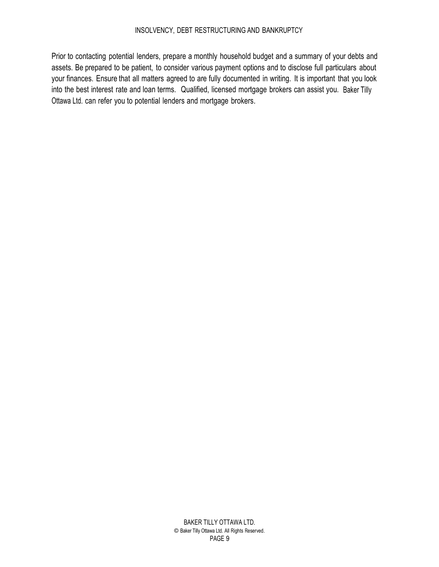Prior to contacting potential lenders, prepare a monthly household budget and a summary of your debts and assets. Be prepared to be patient, to consider various payment options and to disclose full particulars about your finances. Ensure that all matters agreed to are fully documented in writing. It is important that you look into the best interest rate and loan terms. Qualified, licensed mortgage brokers can assist you. Baker Tilly Ottawa Ltd. can refer you to potential lenders and mortgage brokers.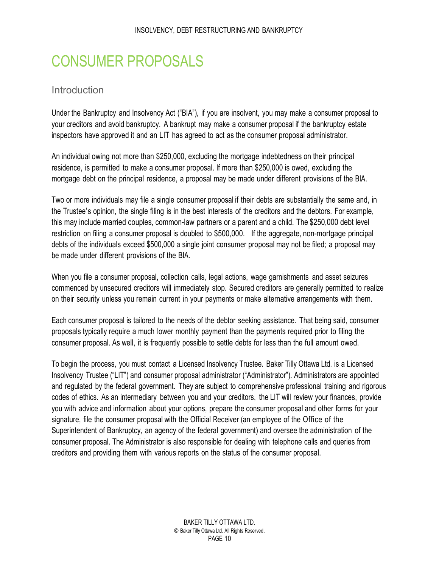## <span id="page-10-0"></span>CONSUMER PROPOSALS

### Introduction

Under the Bankruptcy and Insolvency Act ("BIA"), if you are insolvent, you may make a consumer proposal to your creditors and avoid bankruptcy. A bankrupt may make a consumer proposal if the bankruptcy estate inspectors have approved it and an LIT has agreed to act as the consumer proposal administrator.

An individual owing not more than \$250,000, excluding the mortgage indebtedness on their principal residence, is permitted to make a consumer proposal. If more than \$250,000 is owed, excluding the mortgage debt on the principal residence, a proposal may be made under different provisions of the BIA.

Two or more individuals may file a single consumer proposal if their debts are substantially the same and, in the Trustee's opinion, the single filing is in the best interests of the creditors and the debtors. For example, this may include married couples, common-law partners or a parent and a child. The \$250,000 debt level restriction on filing a consumer proposal is doubled to \$500,000. If the aggregate, non-mortgage principal debts of the individuals exceed \$500,000 a single joint consumer proposal may not be filed; a proposal may be made under different provisions of the BIA.

When you file a consumer proposal, collection calls, legal actions, wage garnishments and asset seizures commenced by unsecured creditors will immediately stop. Secured creditors are generally permitted to realize on their security unless you remain current in your payments or make alternative arrangements with them.

Each consumer proposal is tailored to the needs of the debtor seeking assistance. That being said, consumer proposals typically require a much lower monthly payment than the payments required prior to filing the consumer proposal. As well, it is frequently possible to settle debts for less than the full amount owed.

To begin the process, you must contact a Licensed Insolvency Trustee. Baker Tilly Ottawa Ltd. is a Licensed Insolvency Trustee ("LIT") and consumer proposal administrator ("Administrator"). Administrators are appointed and regulated by the federal government. They are subject to comprehensive professional training and rigorous codes of ethics. As an intermediary between you and your creditors, the LIT will review your finances, provide you with advice and information about your options, prepare the consumer proposal and other forms for your signature, file the consumer proposal with the Official Receiver (an employee of the Office of the Superintendent of Bankruptcy, an agency of the federal government) and oversee the administration of the consumer proposal. The Administrator is also responsible for dealing with telephone calls and queries from creditors and providing them with various reports on the status of the consumer proposal.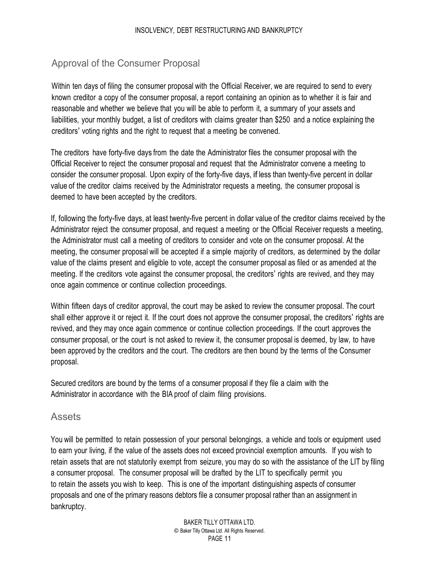## <span id="page-11-0"></span>Approval of the Consumer Proposal

Within ten days of filing the consumer proposal with the Official Receiver, we are required to send to every known creditor a copy of the consumer proposal, a report containing an opinion as to whether it is fair and reasonable and whether we believe that you will be able to perform it, a summary of your assets and liabilities, your monthly budget, a list of creditors with claims greater than \$250 and a notice explaining the creditors' voting rights and the right to request that a meeting be convened.

The creditors have forty-five days from the date the Administrator files the consumer proposal with the Official Receiver to reject the consumer proposal and request that the Administrator convene a meeting to consider the consumer proposal. Upon expiry of the forty-five days, if less than twenty-five percent in dollar value of the creditor claims received by the Administrator requests a meeting, the consumer proposal is deemed to have been accepted by the creditors.

If, following the forty-five days, at least twenty-five percent in dollar value of the creditor claims received by the Administrator reject the consumer proposal, and request a meeting or the Official Receiver requests a meeting, the Administrator must call a meeting of creditors to consider and vote on the consumer proposal. At the meeting, the consumer proposal will be accepted if a simple majority of creditors, as determined by the dollar value of the claims present and eligible to vote, accept the consumer proposal as filed or as amended at the meeting. If the creditors vote against the consumer proposal, the creditors' rights are revived, and they may once again commence or continue collection proceedings.

Within fifteen days of creditor approval, the court may be asked to review the consumer proposal. The court shall either approve it or reject it. If the court does not approve the consumer proposal, the creditors' rights are revived, and they may once again commence or continue collection proceedings. If the court approves the consumer proposal, or the court is not asked to review it, the consumer proposal is deemed, by law, to have been approved by the creditors and the court. The creditors are then bound by the terms of the Consumer proposal.

Secured creditors are bound by the terms of a consumer proposal if they file a claim with the Administrator in accordance with the BIA proof of claim filing provisions.

#### **Assets**

You will be permitted to retain possession of your personal belongings, a vehicle and tools or equipment used to earn your living, if the value of the assets does not exceed provincial exemption amounts. If you wish to retain assets that are not statutorily exempt from seizure, you may do so with the assistance of the LIT by filing a consumer proposal. The consumer proposal will be drafted by the LIT to specifically permit you to retain the assets you wish to keep. This is one of the important distinguishing aspects of consumer proposals and one of the primary reasons debtors file a consumer proposal rather than an assignment in bankruptcy.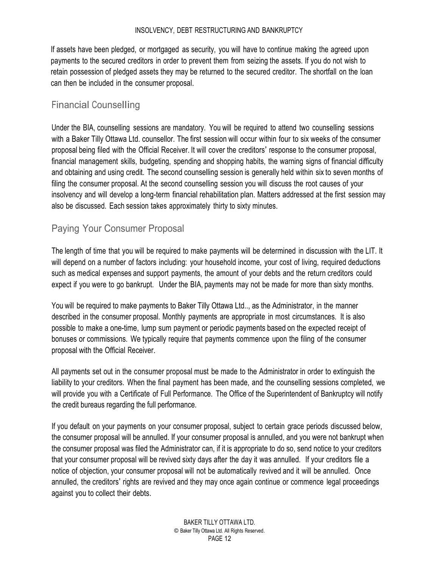<span id="page-12-0"></span>If assets have been pledged, or mortgaged as security, you will have to continue making the agreed upon payments to the secured creditors in order to prevent them from seizing the assets. If you do not wish to retain possession of pledged assets they may be returned to the secured creditor. The shortfall on the loan can then be included in the consumer proposal.

### Financial Counselling

Under the BIA, counselling sessions are mandatory. You will be required to attend two counselling sessions with a Baker Tilly Ottawa Ltd. counsellor. The first session will occur within four to six weeks of the consumer proposal being filed with the Official Receiver. It will cover the creditors' response to the consumer proposal, financial management skills, budgeting, spending and shopping habits, the warning signs of financial difficulty and obtaining and using credit. The second counselling session is generally held within six to seven months of filing the consumer proposal. At the second counselling session you will discuss the root causes of your insolvency and will develop a long-term financial rehabilitation plan. Matters addressed at the first session may also be discussed. Each session takes approximately thirty to sixty minutes.

#### Paying Your Consumer Proposal

The length of time that you will be required to make payments will be determined in discussion with the LIT. It will depend on a number of factors including: your household income, your cost of living, required deductions such as medical expenses and support payments, the amount of your debts and the return creditors could expect if you were to go bankrupt. Under the BIA, payments may not be made for more than sixty months.

You will be required to make payments to Baker Tilly Ottawa Ltd.., as the Administrator, in the manner described in the consumer proposal. Monthly payments are appropriate in most circumstances. It is also possible to make a one-time, lump sum payment or periodic payments based on the expected receipt of bonuses or commissions. We typically require that payments commence upon the filing of the consumer proposal with the Official Receiver.

All payments set out in the consumer proposal must be made to the Administrator in order to extinguish the liability to your creditors. When the final payment has been made, and the counselling sessions completed, we will provide you with a Certificate of Full Performance. The Office of the Superintendent of Bankruptcy will notify the credit bureaus regarding the full performance.

If you default on your payments on your consumer proposal, subject to certain grace periods discussed below, the consumer proposal will be annulled. If your consumer proposal is annulled, and you were not bankrupt when the consumer proposal was filed the Administrator can, if it is appropriate to do so, send notice to your creditors that your consumer proposal will be revived sixty days after the day it was annulled. If your creditors file a notice of objection, your consumer proposal will not be automatically revived and it will be annulled. Once annulled, the creditors' rights are revived and they may once again continue or commence legal proceedings against you to collect their debts.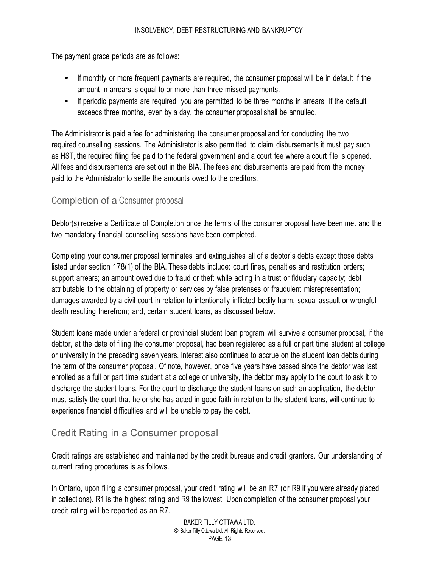<span id="page-13-0"></span>The payment grace periods are as follows:

- If monthly or more frequent payments are required, the consumer proposal will be in default if the amount in arrears is equal to or more than three missed payments.
- If periodic payments are required, you are permitted to be three months in arrears. If the default exceeds three months, even by a day, the consumer proposal shall be annulled.

The Administrator is paid a fee for administering the consumer proposal and for conducting the two required counselling sessions. The Administrator is also permitted to claim disbursements it must pay such as HST, the required filing fee paid to the federal government and a court fee where a court file is opened. All fees and disbursements are set out in the BIA. The fees and disbursements are paid from the money paid to the Administrator to settle the amounts owed to the creditors.

#### Completion of a Consumer proposal

Debtor(s) receive a Certificate of Completion once the terms of the consumer proposal have been met and the two mandatory financial counselling sessions have been completed.

Completing your consumer proposal terminates and extinguishes all of a debtor's debts except those debts listed under section 178(1) of the BIA. These debts include: court fines, penalties and restitution orders; support arrears; an amount owed due to fraud or theft while acting in a trust or fiduciary capacity; debt attributable to the obtaining of property or services by false pretenses or fraudulent misrepresentation; damages awarded by a civil court in relation to intentionally inflicted bodily harm, sexual assault or wrongful death resulting therefrom; and, certain student loans, as discussed below.

Student loans made under a federal or provincial student loan program will survive a consumer proposal, if the debtor, at the date of filing the consumer proposal, had been registered as a full or part time student at college or university in the preceding seven years. Interest also continues to accrue on the student loan debts during the term of the consumer proposal. Of note, however, once five years have passed since the debtor was last enrolled as a full or part time student at a college or university, the debtor may apply to the court to ask it to discharge the student loans. For the court to discharge the student loans on such an application, the debtor must satisfy the court that he or she has acted in good faith in relation to the student loans, will continue to experience financial difficulties and will be unable to pay the debt.

## Credit Rating in a Consumer proposal

Credit ratings are established and maintained by the credit bureaus and credit grantors. Our understanding of current rating procedures is as follows.

In Ontario, upon filing a consumer proposal, your credit rating will be an R7 (or R9 if you were already placed in collections). R1 is the highest rating and R9 the lowest. Upon completion of the consumer proposal your credit rating will be reported as an R7.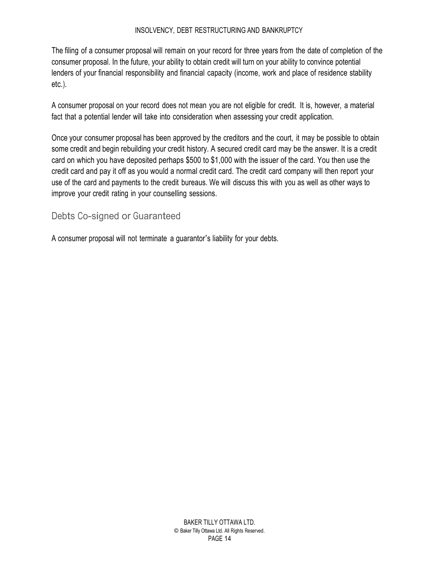<span id="page-14-0"></span>The filing of a consumer proposal will remain on your record for three years from the date of completion of the consumer proposal. In the future, your ability to obtain credit will turn on your ability to convince potential lenders of your financial responsibility and financial capacity (income, work and place of residence stability etc.).

A consumer proposal on your record does not mean you are not eligible for credit. It is, however, a material fact that a potential lender will take into consideration when assessing your credit application.

Once your consumer proposal has been approved by the creditors and the court, it may be possible to obtain some credit and begin rebuilding your credit history. A secured credit card may be the answer. It is a credit card on which you have deposited perhaps \$500 to \$1,000 with the issuer of the card. You then use the credit card and pay it off as you would a normal credit card. The credit card company will then report your use of the card and payments to the credit bureaus. We will discuss this with you as well as other ways to improve your credit rating in your counselling sessions.

## Debts Co-signed or Guaranteed

A consumer proposal will not terminate a guarantor's liability for your debts.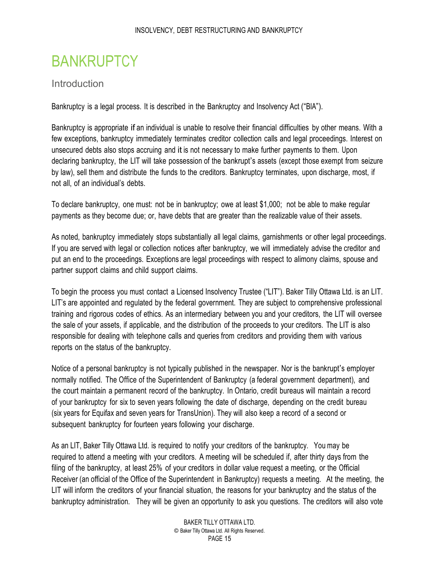## <span id="page-15-0"></span>**BANKRUPTCY**

#### **Introduction**

Bankruptcy is a legal process. It is described in the Bankruptcy and Insolvency Act ("BIA").

Bankruptcy is appropriate if an individual is unable to resolve their financial difficulties by other means. With a few exceptions, bankruptcy immediately terminates creditor collection calls and legal proceedings. Interest on unsecured debts also stops accruing and it is not necessary to make further payments to them. Upon declaring bankruptcy, the LIT will take possession of the bankrupt's assets (except those exempt from seizure by law), sell them and distribute the funds to the creditors. Bankruptcy terminates, upon discharge, most, if not all, of an individual's debts.

To declare bankruptcy, one must: not be in bankruptcy; owe at least \$1,000; not be able to make regular payments as they become due; or, have debts that are greater than the realizable value of their assets.

As noted, bankruptcy immediately stops substantially all legal claims, garnishments or other legal proceedings. If you are served with legal or collection notices after bankruptcy, we will immediately advise the creditor and put an end to the proceedings. Exceptions are legal proceedings with respect to alimony claims, spouse and partner support claims and child support claims.

To begin the process you must contact a Licensed Insolvency Trustee ("LIT"). Baker Tilly Ottawa Ltd. is an LIT. LIT's are appointed and regulated by the federal government. They are subject to comprehensive professional training and rigorous codes of ethics. As an intermediary between you and your creditors, the LIT will oversee the sale of your assets, if applicable, and the distribution of the proceeds to your creditors. The LIT is also responsible for dealing with telephone calls and queries from creditors and providing them with various reports on the status of the bankruptcy.

Notice of a personal bankruptcy is not typically published in the newspaper. Nor is the bankrupt's employer normally notified. The Office of the Superintendent of Bankruptcy (a federal government department), and the court maintain a permanent record of the bankruptcy. In Ontario, credit bureaus will maintain a record of your bankruptcy for six to seven years following the date of discharge, depending on the credit bureau (six years for Equifax and seven years for TransUnion). They will also keep a record of a second or subsequent bankruptcy for fourteen years following your discharge.

As an LIT, Baker Tilly Ottawa Ltd. is required to notify your creditors of the bankruptcy. You may be required to attend a meeting with your creditors. A meeting will be scheduled if, after thirty days from the filing of the bankruptcy, at least 25% of your creditors in dollar value request a meeting, or the Official Receiver (an official of the Office of the Superintendent in Bankruptcy) requests a meeting. At the meeting, the LIT will inform the creditors of your financial situation, the reasons for your bankruptcy and the status of the bankruptcy administration. They will be given an opportunity to ask you questions. The creditors will also vote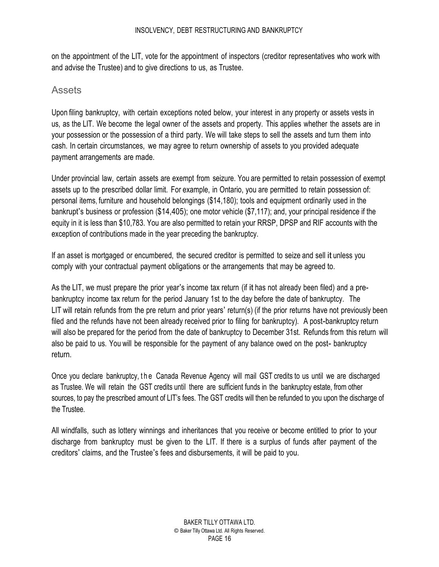<span id="page-16-0"></span>on the appointment of the LIT, vote for the appointment of inspectors (creditor representatives who work with and advise the Trustee) and to give directions to us, as Trustee.

### Assets

Upon filing bankruptcy, with certain exceptions noted below, your interest in any property or assets vests in us, as the LIT. We become the legal owner of the assets and property. This applies whether the assets are in your possession or the possession of a third party. We will take steps to sell the assets and turn them into cash. In certain circumstances, we may agree to return ownership of assets to you provided adequate payment arrangements are made.

Under provincial law, certain assets are exempt from seizure. You are permitted to retain possession of exempt assets up to the prescribed dollar limit. For example, in Ontario, you are permitted to retain possession of: personal items, furniture and household belongings (\$14,180); tools and equipment ordinarily used in the bankrupt's business or profession (\$14,405); one motor vehicle (\$7,117); and, your principal residence if the equity in it is less than \$10,783. You are also permitted to retain your RRSP, DPSP and RIF accounts with the exception of contributions made in the year preceding the bankruptcy.

If an asset is mortgaged or encumbered, the secured creditor is permitted to seize and sell it unless you comply with your contractual payment obligations or the arrangements that may be agreed to.

As the LIT, we must prepare the prior year's income tax return (if it has not already been filed) and a prebankruptcy income tax return for the period January 1st to the day before the date of bankruptcy. The LIT will retain refunds from the pre return and prior years' return(s) (if the prior returns have not previously been filed and the refunds have not been already received prior to filing for bankruptcy). A post-bankruptcy return will also be prepared for the period from the date of bankruptcy to December 31st. Refunds from this return will also be paid to us. You will be responsible for the payment of any balance owed on the post- bankruptcy return.

Once you declare bankruptcy, the Canada Revenue Agency will mail GST credits to us until we are discharged as Trustee. We will retain the GST credits until there are sufficient funds in the bankruptcy estate, from other sources, to pay the prescribed amount of LIT's fees. The GST credits will then be refunded to you upon the discharge of the Trustee.

All windfalls, such as lottery winnings and inheritances that you receive or become entitled to prior to your discharge from bankruptcy must be given to the LIT. If there is a surplus of funds after payment of the creditors' claims, and the Trustee's fees and disbursements, it will be paid to you.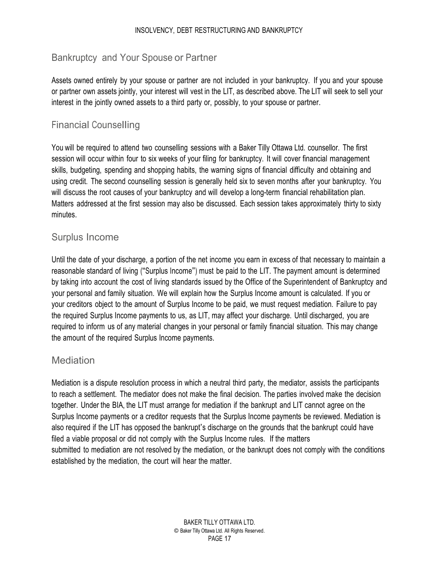#### <span id="page-17-0"></span>Bankruptcy and Your Spouse or Partner

Assets owned entirely by your spouse or partner are not included in your bankruptcy. If you and your spouse or partner own assets jointly, your interest will vest in the LIT, as described above. The LIT will seek to sell your interest in the jointly owned assets to a third party or, possibly, to your spouse or partner.

#### Financial Counselling

You will be required to attend two counselling sessions with a Baker Tilly Ottawa Ltd. counsellor. The first session will occur within four to six weeks of your filing for bankruptcy. It will cover financial management skills, budgeting, spending and shopping habits, the warning signs of financial difficulty and obtaining and using credit. The second counselling session is generally held six to seven months after your bankruptcy. You will discuss the root causes of your bankruptcy and will develop a long-term financial rehabilitation plan. Matters addressed at the first session may also be discussed. Each session takes approximately thirty to sixty minutes.

#### Surplus Income

Until the date of your discharge, a portion of the net income you earn in excess of that necessary to maintain a reasonable standard of living ("Surplus Income") must be paid to the LIT. The payment amount is determined by taking into account the cost of living standards issued by the Office of the Superintendent of Bankruptcy and your personal and family situation. We will explain how the Surplus Income amount is calculated. If you or your creditors object to the amount of Surplus Income to be paid, we must request mediation. Failure to pay the required Surplus Income payments to us, as LIT, may affect your discharge. Until discharged, you are required to inform us of any material changes in your personal or family financial situation. This may change the amount of the required Surplus Income payments.

#### **Mediation**

Mediation is a dispute resolution process in which a neutral third party, the mediator, assists the participants to reach a settlement. The mediator does not make the final decision. The parties involved make the decision together. Under the BIA, the LIT must arrange for mediation if the bankrupt and LIT cannot agree on the Surplus Income payments or a creditor requests that the Surplus Income payments be reviewed. Mediation is also required if the LIT has opposed the bankrupt's discharge on the grounds that the bankrupt could have filed a viable proposal or did not comply with the Surplus Income rules. If the matters submitted to mediation are not resolved by the mediation, or the bankrupt does not comply with the conditions established by the mediation, the court will hear the matter.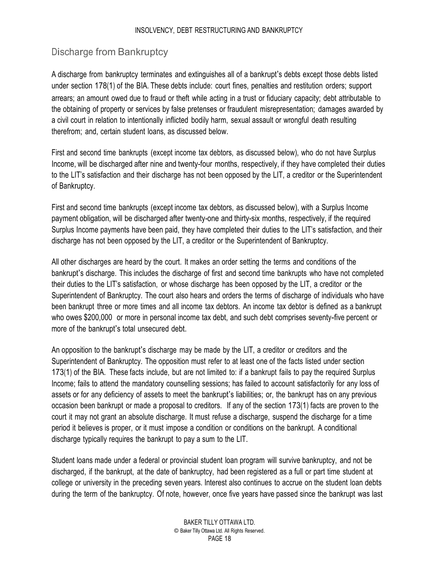## <span id="page-18-0"></span>Discharge from Bankruptcy

A discharge from bankruptcy terminates and extinguishes all of a bankrupt's debts except those debts listed under section 178(1) of the BIA. These debts include: court fines, penalties and restitution orders; support arrears; an amount owed due to fraud or theft while acting in a trust or fiduciary capacity; debt attributable to the obtaining of property or services by false pretenses or fraudulent misrepresentation; damages awarded by a civil court in relation to intentionally inflicted bodily harm, sexual assault or wrongful death resulting therefrom; and, certain student loans, as discussed below.

First and second time bankrupts (except income tax debtors, as discussed below), who do not have Surplus Income, will be discharged after nine and twenty-four months, respectively, if they have completed their duties to the LIT's satisfaction and their discharge has not been opposed by the LIT, a creditor or the Superintendent of Bankruptcy.

First and second time bankrupts (except income tax debtors, as discussed below), with a Surplus Income payment obligation, will be discharged after twenty-one and thirty-six months, respectively, if the required Surplus Income payments have been paid, they have completed their duties to the LIT's satisfaction, and their discharge has not been opposed by the LIT, a creditor or the Superintendent of Bankruptcy.

All other discharges are heard by the court. It makes an order setting the terms and conditions of the bankrupt's discharge. This includes the discharge of first and second time bankrupts who have not completed their duties to the LIT's satisfaction, or whose discharge has been opposed by the LIT, a creditor or the Superintendent of Bankruptcy. The court also hears and orders the terms of discharge of individuals who have been bankrupt three or more times and all income tax debtors. An income tax debtor is defined as a bankrupt who owes \$200,000 or more in personal income tax debt, and such debt comprises seventy-five percent or more of the bankrupt's total unsecured debt.

An opposition to the bankrupt's discharge may be made by the LIT, a creditor or creditors and the Superintendent of Bankruptcy. The opposition must refer to at least one of the facts listed under section 173(1) of the BIA. These facts include, but are not limited to: if a bankrupt fails to pay the required Surplus Income; fails to attend the mandatory counselling sessions; has failed to account satisfactorily for any loss of assets or for any deficiency of assets to meet the bankrupt's liabilities; or, the bankrupt has on any previous occasion been bankrupt or made a proposal to creditors. If any of the section 173(1) facts are proven to the court it may not grant an absolute discharge. It must refuse a discharge, suspend the discharge for a time period it believes is proper, or it must impose a condition or conditions on the bankrupt. A conditional discharge typically requires the bankrupt to pay a sum to the LIT.

Student loans made under a federal or provincial student loan program will survive bankruptcy, and not be discharged, if the bankrupt, at the date of bankruptcy, had been registered as a full or part time student at college or university in the preceding seven years. Interest also continues to accrue on the student loan debts during the term of the bankruptcy. Of note, however, once five years have passed since the bankrupt was last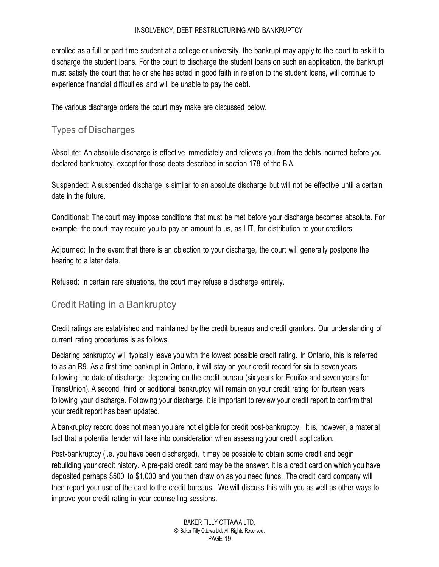<span id="page-19-0"></span>enrolled as a full or part time student at a college or university, the bankrupt may apply to the court to ask it to discharge the student loans. For the court to discharge the student loans on such an application, the bankrupt must satisfy the court that he or she has acted in good faith in relation to the student loans, will continue to experience financial difficulties and will be unable to pay the debt.

The various discharge orders the court may make are discussed below.

## Types of Discharges

Absolute: An absolute discharge is effective immediately and relieves you from the debts incurred before you declared bankruptcy, except for those debts described in section 178 of the BIA.

Suspended: A suspended discharge is similar to an absolute discharge but will not be effective until a certain date in the future.

Conditional: The court may impose conditions that must be met before your discharge becomes absolute. For example, the court may require you to pay an amount to us, as LIT, for distribution to your creditors.

Adjourned: In the event that there is an objection to your discharge, the court will generally postpone the hearing to a later date.

Refused: In certain rare situations, the court may refuse a discharge entirely.

## Credit Rating in a Bankruptcy

Credit ratings are established and maintained by the credit bureaus and credit grantors. Our understanding of current rating procedures is as follows.

Declaring bankruptcy will typically leave you with the lowest possible credit rating. In Ontario, this is referred to as an R9. As a first time bankrupt in Ontario, it will stay on your credit record for six to seven years following the date of discharge, depending on the credit bureau (six years for Equifax and seven years for TransUnion). A second, third or additional bankruptcy will remain on your credit rating for fourteen years following your discharge. Following your discharge, it is important to review your credit report to confirm that your credit report has been updated.

A bankruptcy record does not mean you are not eligible for credit post-bankruptcy. It is, however, a material fact that a potential lender will take into consideration when assessing your credit application.

Post-bankruptcy (i.e. you have been discharged), it may be possible to obtain some credit and begin rebuilding your credit history. A pre-paid credit card may be the answer. It is a credit card on which you have deposited perhaps \$500 to \$1,000 and you then draw on as you need funds. The credit card company will then report your use of the card to the credit bureaus. We will discuss this with you as well as other ways to improve your credit rating in your counselling sessions.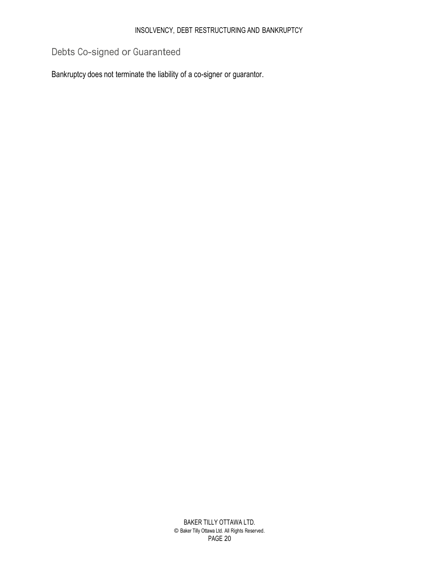## <span id="page-20-0"></span>Debts Co-signed or Guaranteed

Bankruptcy does not terminate the liability of a co-signer or guarantor.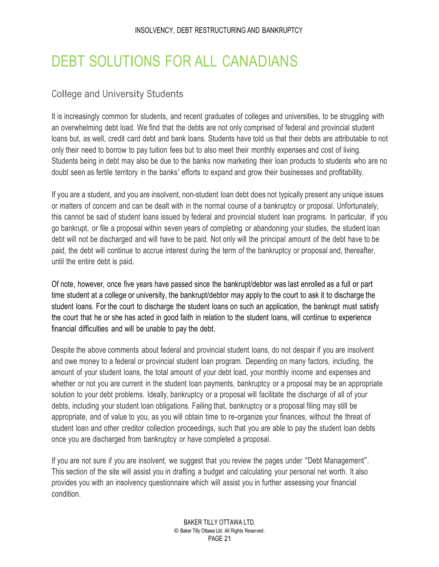## <span id="page-21-0"></span>DEBT SOLUTIONS FOR ALL CANADIANS

#### College and University Students

It is increasingly common for students, and recent graduates of colleges and universities, to be struggling with an overwhelming debt load. We find that the debts are not only comprised of federal and provincial student loans but, as well, credit card debt and bank loans. Students have told us that their debts are attributable to not only their need to borrow to pay tuition fees but to also meet their monthly expenses and cost of living. Students being in debt may also be due to the banks now marketing their loan products to students who are no doubt seen as fertile territory in the banks' efforts to expand and grow their businesses and profitability.

If you are a student, and you are insolvent, non-student loan debt does not typically present any unique issues or matters of concern and can be dealt with in the normal course of a bankruptcy or proposal. Unfortunately, this cannot be said of student loans issued by federal and provincial student loan programs. In particular, if you go bankrupt, or file a proposal within seven years of completing or abandoning your studies, the student loan debt will not be discharged and will have to be paid. Not only will the principal amount of the debt have to be paid, the debt will continue to accrue interest during the term of the bankruptcy or proposal and, thereafter, until the entire debt is paid.

Of note, however, once five years have passed since the bankrupt/debtor was last enrolled as a full or part time student at a college or university, the bankrupt/debtor may apply to the court to ask it to discharge the student loans. For the court to discharge the student loans on such an application, the bankrupt must satisfy the court that he or she has acted in good faith in relation to the student loans, will continue to experience financial difficulties and will be unable to pay the debt.

Despite the above comments about federal and provincial student loans, do not despair if you are insolvent and owe money to a federal or provincial student loan program. Depending on many factors, including, the amount of your student loans, the total amount of your debt load, your monthly income and expenses and whether or not you are current in the student loan payments, bankruptcy or a proposal may be an appropriate solution to your debt problems. Ideally, bankruptcy or a proposal will facilitate the discharge of all of your debts, including your student loan obligations. Failing that, bankruptcy or a proposal filing may still be appropriate, and of value to you, as you will obtain time to re-organize your finances, without the threat of student loan and other creditor collection proceedings, such that you are able to pay the student loan debts once you are discharged from bankruptcy or have completed a proposal.

If you are not sure if you are insolvent, we suggest that you review the pages under "Debt Management". This section of the site will assist you in drafting a budget and calculating your personal net worth. It also provides you with an insolvency questionnaire which will assist you in further assessing your financial condition.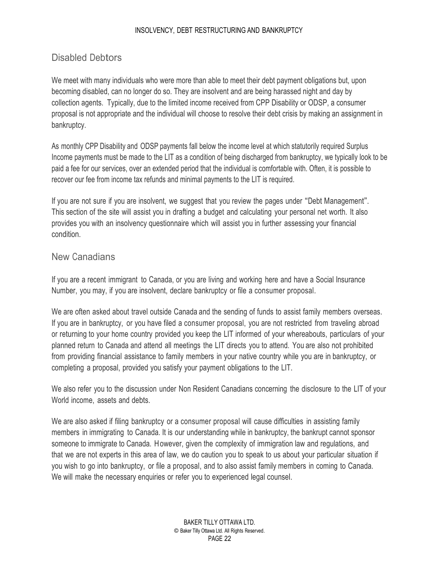### <span id="page-22-0"></span>Disabled Debtors

We meet with many individuals who were more than able to meet their debt payment obligations but, upon becoming disabled, can no longer do so. They are insolvent and are being harassed night and day by collection agents. Typically, due to the limited income received from CPP Disability or ODSP, a consumer proposal is not appropriate and the individual will choose to resolve their debt crisis by making an assignment in bankruptcy.

As monthly CPP Disability and ODSP payments fall below the income level at which statutorily required Surplus Income payments must be made to the LIT as a condition of being discharged from bankruptcy, we typically look to be paid a fee for our services, over an extended period that the individual is comfortable with. Often, it is possible to recover our fee from income tax refunds and minimal payments to the LIT is required.

If you are not sure if you are insolvent, we suggest that you review the pages under "Debt Management". This section of the site will assist you in drafting a budget and calculating your personal net worth. It also provides you with an insolvency questionnaire which will assist you in further assessing your financial condition.

#### New Canadians

If you are a recent immigrant to Canada, or you are living and working here and have a Social Insurance Number, you may, if you are insolvent, declare bankruptcy or file a consumer proposal.

We are often asked about travel outside Canada and the sending of funds to assist family members overseas. If you are in bankruptcy, or you have filed a consumer proposal, you are not restricted from traveling abroad or returning to your home country provided you keep the LIT informed of your whereabouts, particulars of your planned return to Canada and attend all meetings the LIT directs you to attend. You are also not prohibited from providing financial assistance to family members in your native country while you are in bankruptcy, or completing a proposal, provided you satisfy your payment obligations to the LIT.

We also refer you to the discussion under Non Resident Canadians concerning the disclosure to the LIT of your World income, assets and debts.

We are also asked if filing bankruptcy or a consumer proposal will cause difficulties in assisting family members in immigrating to Canada. It is our understanding while in bankruptcy, the bankrupt cannot sponsor someone to immigrate to Canada. However, given the complexity of immigration law and regulations, and that we are not experts in this area of law, we do caution you to speak to us about your particular situation if you wish to go into bankruptcy, or file a proposal, and to also assist family members in coming to Canada. We will make the necessary enquiries or refer you to experienced legal counsel.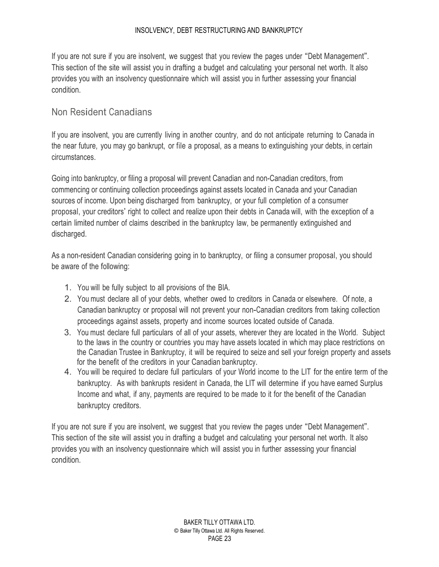<span id="page-23-0"></span>If you are not sure if you are insolvent, we suggest that you review the pages under "Debt Management". This section of the site will assist you in drafting a budget and calculating your personal net worth. It also provides you with an insolvency questionnaire which will assist you in further assessing your financial condition.

#### Non Resident Canadians

If you are insolvent, you are currently living in another country, and do not anticipate returning to Canada in the near future, you may go bankrupt, or file a proposal, as a means to extinguishing your debts, in certain circumstances.

Going into bankruptcy, or filing a proposal will prevent Canadian and non-Canadian creditors, from commencing or continuing collection proceedings against assets located in Canada and your Canadian sources of income. Upon being discharged from bankruptcy, or your full completion of a consumer proposal, your creditors' right to collect and realize upon their debts in Canada will, with the exception of a certain limited number of claims described in the bankruptcy law, be permanently extinguished and discharged.

As a non-resident Canadian considering going in to bankruptcy, or filing a consumer proposal, you should be aware of the following:

- 1. You will be fully subject to all provisions of the BIA.
- 2. You must declare all of your debts, whether owed to creditors in Canada or elsewhere. Of note, a Canadian bankruptcy or proposal will not prevent your non-Canadian creditors from taking collection proceedings against assets, property and income sources located outside of Canada.
- 3. You must declare full particulars of all of your assets, wherever they are located in the World. Subject to the laws in the country or countries you may have assets located in which may place restrictions on the Canadian Trustee in Bankruptcy, it will be required to seize and sell your foreign property and assets for the benefit of the creditors in your Canadian bankruptcy.
- 4. You will be required to declare full particulars of your World income to the LIT for the entire term of the bankruptcy. As with bankrupts resident in Canada, the LIT will determine if you have earned Surplus Income and what, if any, payments are required to be made to it for the benefit of the Canadian bankruptcy creditors.

If you are not sure if you are insolvent, we suggest that you review the pages under "Debt Management". This section of the site will assist you in drafting a budget and calculating your personal net worth. It also provides you with an insolvency questionnaire which will assist you in further assessing your financial condition.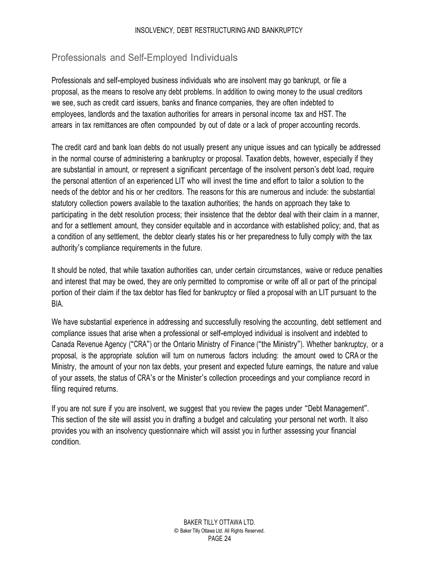## <span id="page-24-0"></span>Professionals and Self-Employed Individuals

Professionals and self-employed business individuals who are insolvent may go bankrupt, or file a proposal, as the means to resolve any debt problems. In addition to owing money to the usual creditors we see, such as credit card issuers, banks and finance companies, they are often indebted to employees, landlords and the taxation authorities for arrears in personal income tax and HST. The arrears in tax remittances are often compounded by out of date or a lack of proper accounting records.

The credit card and bank loan debts do not usually present any unique issues and can typically be addressed in the normal course of administering a bankruptcy or proposal. Taxation debts, however, especially if they are substantial in amount, or represent a significant percentage of the insolvent person's debt load, require the personal attention of an experienced LIT who will invest the time and effort to tailor a solution to the needs of the debtor and his or her creditors. The reasons for this are numerous and include: the substantial statutory collection powers available to the taxation authorities; the hands on approach they take to participating in the debt resolution process; their insistence that the debtor deal with their claim in a manner, and for a settlement amount, they consider equitable and in accordance with established policy; and, that as a condition of any settlement, the debtor clearly states his or her preparedness to fully comply with the tax authority's compliance requirements in the future.

It should be noted, that while taxation authorities can, under certain circumstances, waive or reduce penalties and interest that may be owed, they are only permitted to compromise or write off all or part of the principal portion of their claim if the tax debtor has filed for bankruptcy or filed a proposal with an LIT pursuant to the BIA.

We have substantial experience in addressing and successfully resolving the accounting, debt settlement and compliance issues that arise when a professional or self-employed individual is insolvent and indebted to Canada Revenue Agency ("CRA") or the Ontario Ministry of Finance ("the Ministry"). Whether bankruptcy, or a proposal, is the appropriate solution will turn on numerous factors including: the amount owed to CRA or the Ministry, the amount of your non tax debts, your present and expected future earnings, the nature and value of your assets, the status of CRA's or the Minister's collection proceedings and your compliance record in filing required returns.

If you are not sure if you are insolvent, we suggest that you review the pages under "Debt Management". This section of the site will assist you in drafting a budget and calculating your personal net worth. It also provides you with an insolvency questionnaire which will assist you in further assessing your financial condition.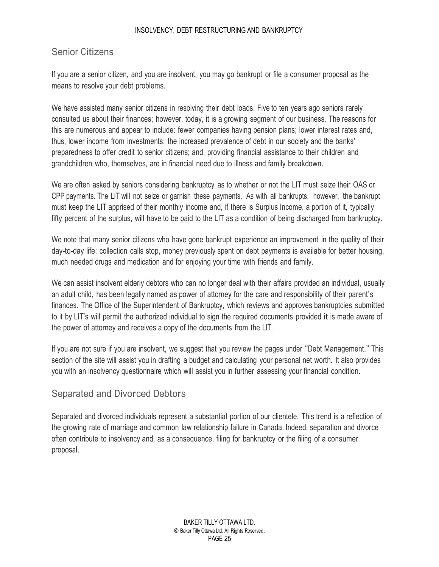### <span id="page-25-0"></span>Senior Citizens

If you are a senior citizen, and you are insolvent, you may go bankrupt or file a consumer proposal as the means to resolve your debt problems.

We have assisted many senior citizens in resolving their debt loads. Five to ten years ago seniors rarely consulted us about their finances; however, today, it is a growing segment of our business. The reasons for this are numerous and appear to include: fewer companies having pension plans; lower interest rates and, thus, lower income from investments; the increased prevalence of debt in our society and the banks' preparedness to offer credit to senior citizens; and, providing financial assistance to their children and grandchildren who, themselves, are in financial need due to illness and family breakdown.

We are often asked by seniors considering bankruptcy as to whether or not the LIT must seize their OAS or CPP payments. The LIT will not seize or garnish these payments. As with all bankrupts, however, the bankrupt must keep the LIT apprised of their monthly income and, if there is Surplus Income, a portion of it, typically fifty percent of the surplus, will have to be paid to the LIT as a condition of being discharged from bankruptcy.

We note that many senior citizens who have gone bankrupt experience an improvement in the quality of their day-to-day life: collection calls stop, money previously spent on debt payments is available for better housing, much needed drugs and medication and for enjoying your time with friends and family.

We can assist insolvent elderly debtors who can no longer deal with their affairs provided an individual, usually an adult child, has been legally named as power of attorney for the care and responsibility of their parent's finances. The Office of the Superintendent of Bankruptcy, which reviews and approves bankruptcies submitted to it by LIT's will permit the authorized individual to sign the required documents provided it is made aware of the power of attorney and receives a copy of the documents from the LIT.

If you are not sure if you are insolvent, we suggest that you review the pages under "Debt Management." This section of the site will assist you in drafting a budget and calculating your personal net worth. It also provides you with an insolvency questionnaire which will assist you in further assessing your financial condition.

## Separated and Divorced Debtors

Separated and divorced individuals represent a substantial portion of our clientele. This trend is a reflection of the growing rate of marriage and common law relationship failure in Canada. Indeed, separation and divorce often contribute to insolvency and, as a consequence, filing for bankruptcy or the filing of a consumer proposal.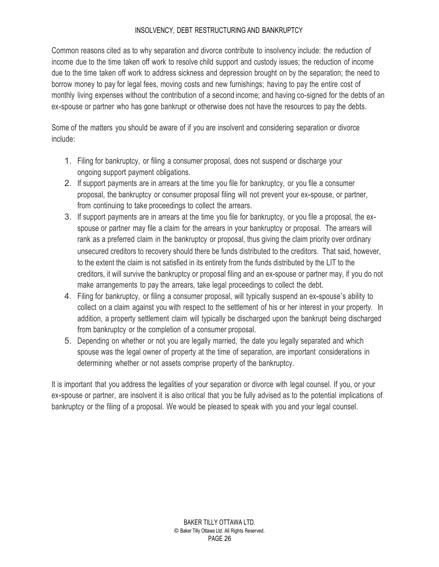Common reasons cited as to why separation and divorce contribute to insolvency include: the reduction of income due to the time taken off work to resolve child support and custody issues; the reduction of income due to the time taken off work to address sickness and depression brought on by the separation; the need to borrow money to pay for legal fees, moving costs and new furnishings; having to pay the entire cost of monthly living expenses without the contribution of a second income; and having co-signed for the debts of an ex-spouse or partner who has gone bankrupt or otherwise does not have the resources to pay the debts.

Some of the matters you should be aware of if you are insolvent and considering separation or divorce include:

- 1. Filing for bankruptcy, or filing a consumer proposal, does not suspend or discharge your ongoing support payment obligations.
- 2. If support payments are in arrears at the time you file for bankruptcy, or you file a consumer proposal, the bankruptcy or consumer proposal filing will not prevent your ex-spouse, or partner, from continuing to take proceedings to collect the arrears.
- 3. If support payments are in arrears at the time you file for bankruptcy, or you file a proposal, the exspouse or partner may file a claim for the arrears in your bankruptcy or proposal. The arrears will rank as a preferred claim in the bankruptcy or proposal, thus giving the claim priority over ordinary unsecured creditors to recovery should there be funds distributed to the creditors. That said, however, to the extent the claim is not satisfied in its entirety from the funds distributed by the LIT to the creditors, it will survive the bankruptcy or proposal filing and an ex-spouse or partner may, if you do not make arrangements to pay the arrears, take legal proceedings to collect the debt.
- 4. Filing for bankruptcy, or filing a consumer proposal, will typically suspend an ex-spouse's ability to collect on a claim against you with respect to the settlement of his or her interest in your property. In addition, a property settlement claim will typically be discharged upon the bankrupt being discharged from bankruptcy or the completion of a consumer proposal.
- 5. Depending on whether or not you are legally married, the date you legally separated and which spouse was the legal owner of property at the time of separation, are important considerations in determining whether or not assets comprise property of the bankruptcy.

It is important that you address the legalities of your separation or divorce with legal counsel. If you, or your ex-spouse or partner, are insolvent it is also critical that you be fully advised as to the potential implications of bankruptcy or the filing of a proposal. We would be pleased to speak with you and your legal counsel.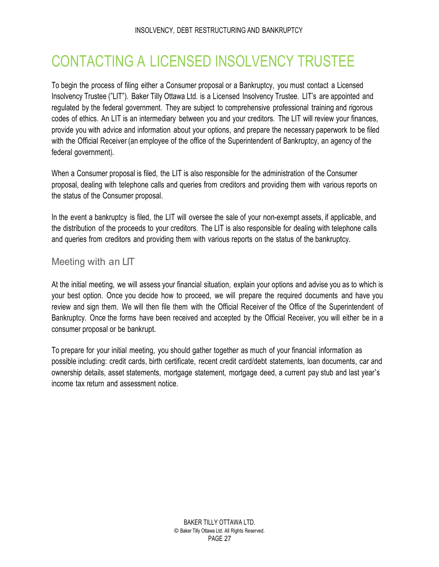## <span id="page-27-0"></span>CONTACTING A LICENSED INSOLVENCY TRUSTEE

To begin the process of filing either a Consumer proposal or a Bankruptcy, you must contact a Licensed Insolvency Trustee ("LIT"). Baker Tilly Ottawa Ltd. is a Licensed Insolvency Trustee. LIT's are appointed and regulated by the federal government. They are subject to comprehensive professional training and rigorous codes of ethics. An LIT is an intermediary between you and your creditors. The LIT will review your finances, provide you with advice and information about your options, and prepare the necessary paperwork to be filed with the Official Receiver (an employee of the office of the Superintendent of Bankruptcy, an agency of the federal government).

When a Consumer proposal is filed, the LIT is also responsible for the administration of the Consumer proposal, dealing with telephone calls and queries from creditors and providing them with various reports on the status of the Consumer proposal.

In the event a bankruptcy is filed, the LIT will oversee the sale of your non-exempt assets, if applicable, and the distribution of the proceeds to your creditors. The LIT is also responsible for dealing with telephone calls and queries from creditors and providing them with various reports on the status of the bankruptcy.

### Meeting with an LIT

At the initial meeting, we will assess your financial situation, explain your options and advise you as to which is your best option. Once you decide how to proceed, we will prepare the required documents and have you review and sign them. We will then file them with the Official Receiver of the Office of the Superintendent of Bankruptcy. Once the forms have been received and accepted by the Official Receiver, you will either be in a consumer proposal or be bankrupt.

To prepare for your initial meeting, you should gather together as much of your financial information as possible including: credit cards, birth certificate, recent credit card/debt statements, loan documents, car and ownership details, asset statements, mortgage statement, mortgage deed, a current pay stub and last year's income tax return and assessment notice.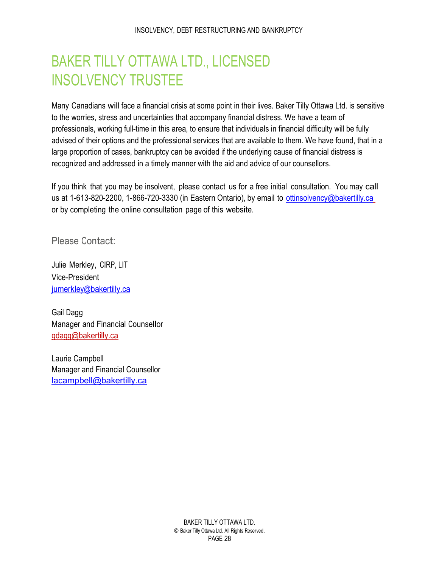## <span id="page-28-0"></span>BAKER TILLY OTTAWA LTD., LICENSED INSOLVENCY TRUSTEE

Many Canadians will face a financial crisis at some point in their lives. Baker Tilly Ottawa Ltd. is sensitive to the worries, stress and uncertainties that accompany financial distress. We have a team of professionals, working full-time in this area, to ensure that individuals in financial difficulty will be fully advised of their options and the professional services that are available to them. We have found, that in a large proportion of cases, bankruptcy can be avoided if the underlying cause of financial distress is recognized and addressed in a timely manner with the aid and advice of our counsellors.

If you think that you may be insolvent, please contact us for a free initial consultation. You may call us at 1-613-820-2200, 1-866-720-3330 (in Eastern Ontario), by email to ottinsolvency@bakertilly.ca or by completing the online consultation page of this website.

Please Contact:

Julie Merkley, CIRP, LIT Vice-President jumerkley@bakertilly.ca

Gail Dagg Manager and Financial Counsellor gdagg@bakertilly.ca

Laurie Campbell Manager and Financial Counsellor lacampbell@bakertilly.ca